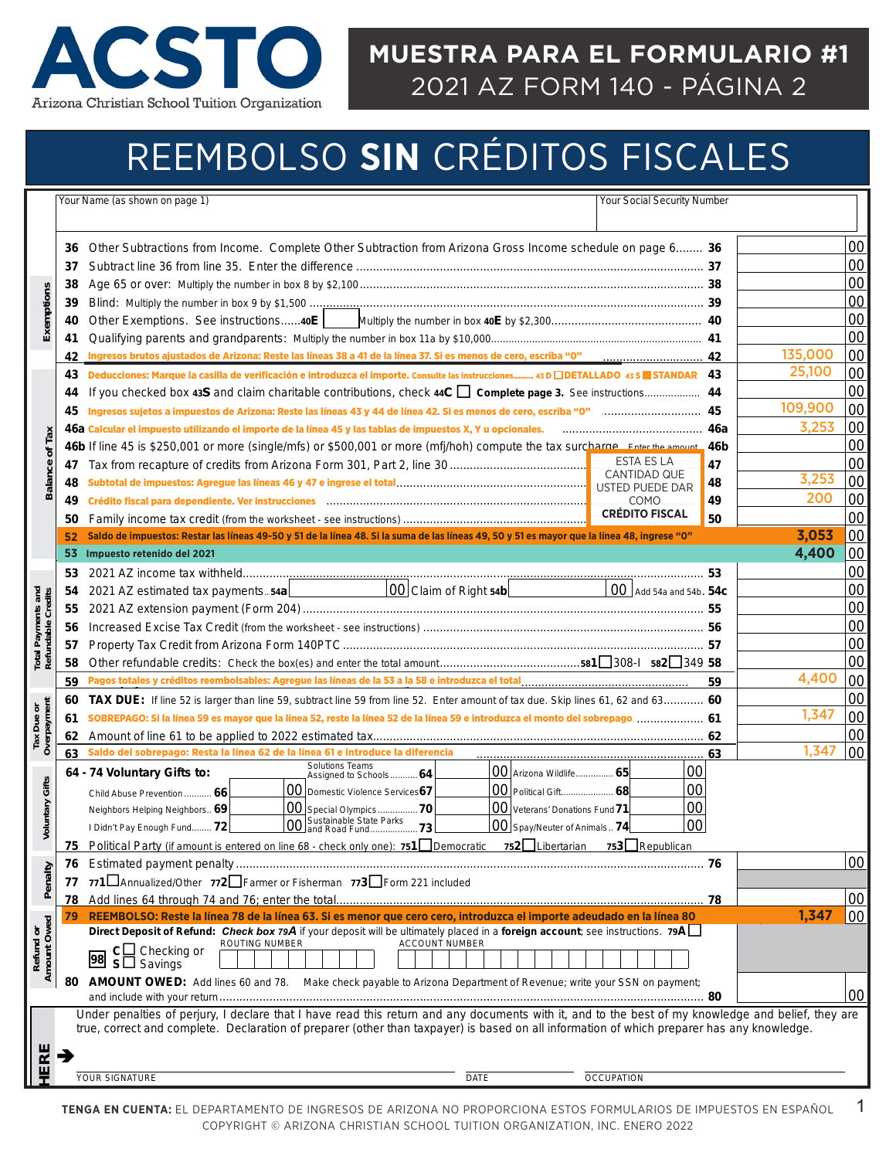

### **MUESTRA PARA EL FORMULARIO #1**  2021 AZ FORM 140 - PÁGINA 2

# REEMBOLSO **SIN** CRÉDITOS FISCALES

|                                          |          | Your Name (as shown on page 1)<br>Your Social Security Number                                                                                                                                                                                                                                    |    |         |    |
|------------------------------------------|----------|--------------------------------------------------------------------------------------------------------------------------------------------------------------------------------------------------------------------------------------------------------------------------------------------------|----|---------|----|
|                                          |          |                                                                                                                                                                                                                                                                                                  |    |         |    |
|                                          | 36       | Other Subtractions from Income. Complete Other Subtraction from Arizona Gross Income schedule on page 6 36                                                                                                                                                                                       |    |         | 00 |
|                                          | 37       |                                                                                                                                                                                                                                                                                                  |    |         | 00 |
|                                          | 38       |                                                                                                                                                                                                                                                                                                  |    |         | 00 |
| Exemptions                               |          |                                                                                                                                                                                                                                                                                                  |    |         | 00 |
|                                          | 39       |                                                                                                                                                                                                                                                                                                  |    |         | 00 |
|                                          | 40       |                                                                                                                                                                                                                                                                                                  |    |         | 00 |
|                                          | 41<br>42 |                                                                                                                                                                                                                                                                                                  |    | 135.000 | 00 |
|                                          | 43       | Deducciones: Marque la casilla de verificación e introduzca el importe. Consulte las instrucciones 43 D DETALLADO 43 S STANDAR 43                                                                                                                                                                |    | 25,100  | 00 |
|                                          | 44       |                                                                                                                                                                                                                                                                                                  |    |         | 00 |
|                                          | 45       |                                                                                                                                                                                                                                                                                                  |    | 109,900 | 00 |
|                                          |          | Ingresos sujetos a impuestos de Arizona: Reste las líneas 43 y 44 de línea 42. Si es menos de cero, escriba "0" mummumumum 45<br>46a Calcular el impuesto utilizando el importe de la línea 45 y las tablas de impuestos X, Y u opcionales.                                                      |    | 3,253   | 00 |
| <b>Balance of Tax</b>                    |          |                                                                                                                                                                                                                                                                                                  |    |         | 00 |
|                                          | 47       | 46b If line 45 is \$250,001 or more (single/mfs) or \$500,001 or more (mfj/hoh) compute the tax surcharge. Enter the amount. 46b<br>ESTA ES LA                                                                                                                                                   | 47 |         | 00 |
|                                          | 48       | <b>CANTIDAD QUE</b>                                                                                                                                                                                                                                                                              | 48 | 3,253   | 00 |
|                                          | 49       | Crédito fiscal para dependiente. Ver instrucciones with an annumerous construction and construction of the con<br>COMO.                                                                                                                                                                          | 49 | 200     | 00 |
|                                          | 50       | <b>CRÉDITO FISCAL</b>                                                                                                                                                                                                                                                                            | 50 |         | 00 |
|                                          | 52       | Saldo de impuestos: Restar las líneas 49-50 y 51 de la línea 48. Si la suma de las líneas 49, 50 y 51 es mayor que la línea 48, ingrese "0"                                                                                                                                                      |    | 3,053   | 00 |
|                                          | 53       | Impuesto retenido del 2021                                                                                                                                                                                                                                                                       |    | 4,400   | 00 |
|                                          | 53       |                                                                                                                                                                                                                                                                                                  |    |         | 00 |
|                                          | 54       | $ 00 $ Claim of Right 54b $ $<br>$00$ Add 54a and 54b. 54c<br>2021 AZ estimated tax payments54a                                                                                                                                                                                                  |    |         | 00 |
| Total Payments and<br>Refundable Credits | 55       |                                                                                                                                                                                                                                                                                                  |    |         | 00 |
|                                          | 56       |                                                                                                                                                                                                                                                                                                  |    |         | 00 |
|                                          |          |                                                                                                                                                                                                                                                                                                  |    |         | 00 |
|                                          | 57<br>58 |                                                                                                                                                                                                                                                                                                  |    |         | 00 |
|                                          |          |                                                                                                                                                                                                                                                                                                  |    | 4,400   | 00 |
|                                          | 59       |                                                                                                                                                                                                                                                                                                  | 59 |         | 00 |
|                                          | 60       | <b>TAX DUE:</b> If line 52 is larger than line 59, subtract line 59 from line 52. Enter amount of tax due. Skip lines 61, 62 and 63 60                                                                                                                                                           |    | 1,347   | 00 |
|                                          | 61       | SOBREPAGO: Si la línea 59 es mayor que la línea 52, reste la línea 52 de la línea 59 e introduzca el monto del sobrepago  61                                                                                                                                                                     |    |         | 00 |
| Tax Due or<br>Overpayment                | 62<br>63 | Saldo del sobrepago: Resta la línea 62 de la línea 61 e introduce la diferencia                                                                                                                                                                                                                  |    | 1,347   | 00 |
|                                          |          | <b>Solutions Teams</b><br>00<br>$ 00 $ Arizona Wildlife 65                                                                                                                                                                                                                                       | 63 |         |    |
|                                          |          | 64 - 74 Voluntary Gifts to:<br>Assigned to Schools 64<br>00<br>00 Domestic Violence Services67<br>$ 00 $ Political Gift 68                                                                                                                                                                       |    |         |    |
|                                          |          | Child Abuse Prevention  66<br> 00<br>$\boxed{00}$ Special Olympics  70<br>$ 00 $ Veterans' Donations Fund 71<br>Neighbors Helping Neighbors 69                                                                                                                                                   |    |         |    |
| <b>Voluntary Gifts</b>                   |          | Sustainable State Parks<br>00 and Road Fund73<br>00<br>$\overline{ 00 }$ Spay/Neuter of Animals 74 $\overline{ 00 }$<br>I Didn't Pay Enough Fund 72                                                                                                                                              |    |         |    |
|                                          |          | Political Party (if amount is entered on line 68 - check only one): 751 Democratic 752 Libertarian 753 Republican                                                                                                                                                                                |    |         |    |
|                                          | 75       |                                                                                                                                                                                                                                                                                                  |    |         | 00 |
| Penalty                                  | 76<br>77 | 771 Annualized/Other 772 Farmer or Fisherman 773 Form 221 included                                                                                                                                                                                                                               |    |         |    |
|                                          | 78       |                                                                                                                                                                                                                                                                                                  |    |         | 00 |
|                                          | 79       | REEMBOLSO: Reste la línea 78 de la línea 63. Si es menor que cero cero, introduzca el importe adeudado en la línea 80                                                                                                                                                                            |    | 1,347   | 00 |
| Refund or<br>Amount Owed                 |          | Direct Deposit of Refund: Check box 79A if your deposit will be ultimately placed in a foreign account; see instructions. 79A                                                                                                                                                                    |    |         |    |
|                                          |          | ROUTING NUMBER<br><b>ACCOUNT NUMBER</b><br>$c\Box$ Checking or                                                                                                                                                                                                                                   |    |         |    |
|                                          |          | 98 SH Savings                                                                                                                                                                                                                                                                                    |    |         |    |
|                                          | 80       | AMOUNT OWED: Add lines 60 and 78. Make check payable to Arizona Department of Revenue; write your SSN on payment;                                                                                                                                                                                |    |         |    |
|                                          |          |                                                                                                                                                                                                                                                                                                  |    |         | 00 |
|                                          |          | Under penalties of perjury, I declare that I have read this return and any documents with it, and to the best of my knowledge and belief, they are<br>true, correct and complete. Declaration of preparer (other than taxpayer) is based on all information of which preparer has any knowledge. |    |         |    |
|                                          |          |                                                                                                                                                                                                                                                                                                  |    |         |    |
| ERE                                      |          |                                                                                                                                                                                                                                                                                                  |    |         |    |
|                                          |          | YOUR SIGNATURE<br><b>DATE</b><br><b>OCCUPATION</b>                                                                                                                                                                                                                                               |    |         |    |
|                                          |          |                                                                                                                                                                                                                                                                                                  |    |         |    |
|                                          |          | TENGA EN CUENTA: EL DEPARTAMENTO DE INGRESOS DE ARIZONA NO PROPORCIONA ESTOS FORMULARIOS DE IMPUESTOS EN ESPAÑOL                                                                                                                                                                                 |    |         | 1  |
|                                          |          | COPYRIGHT © ARIZONA CHRISTIAN SCHOOL TUITION ORGANIZATION, INC. ENERO 2022                                                                                                                                                                                                                       |    |         |    |
|                                          |          |                                                                                                                                                                                                                                                                                                  |    |         |    |
|                                          |          |                                                                                                                                                                                                                                                                                                  |    |         |    |
|                                          |          |                                                                                                                                                                                                                                                                                                  |    |         |    |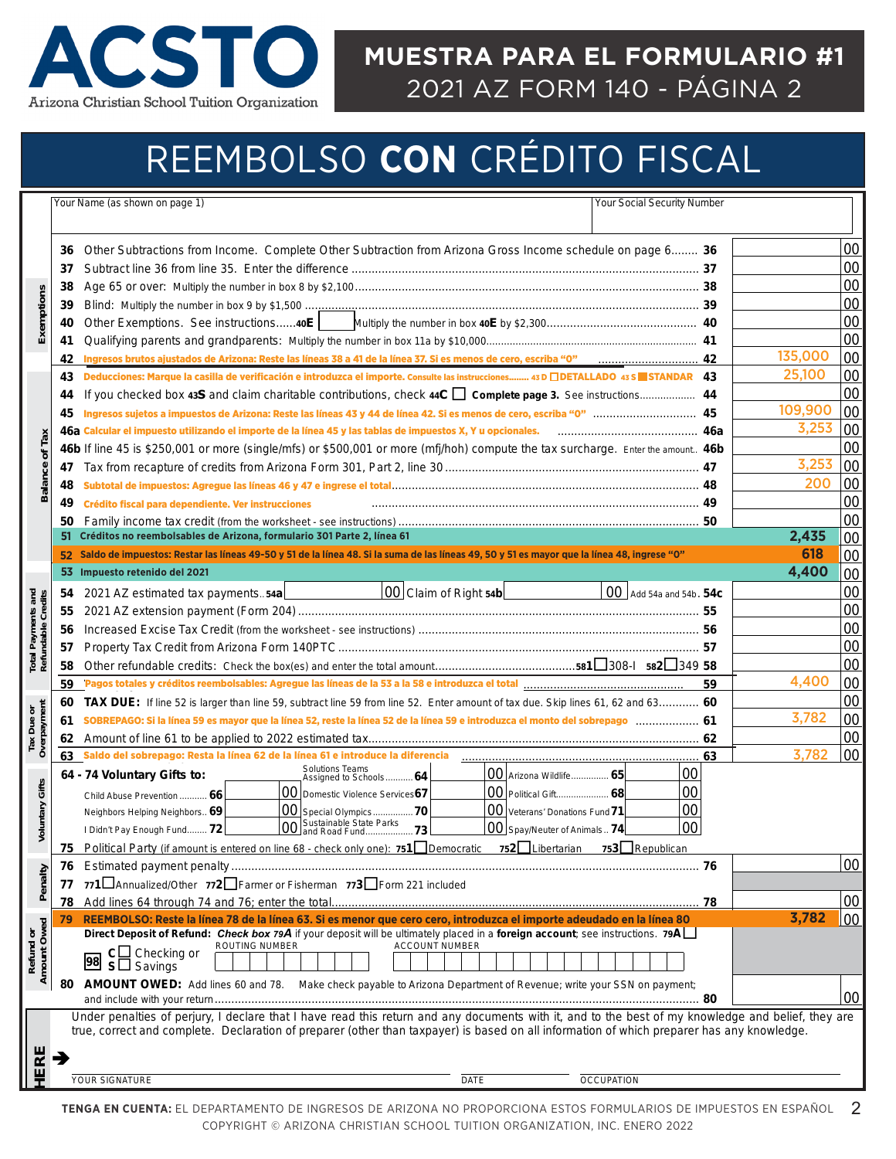

### **EXAMPLE #1 MUESTRA PARA EL FORMULARIO #1**  2021 AZ FORM 140 - PÁGINA 2

# REEMBOLSO **CON** CRÉDITO FISCAL

| Other Subtractions from Income. Complete Other Subtraction from Arizona Gross Income schedule on page 6 36<br>36<br>37<br>38<br>Exemptions<br>39<br>40<br>41<br>135,000<br>42<br>25,100<br>Deducciones: Marque la casilla de verificación e introduzca el importe. Consulte las instrucciones 43 D [DETALLADO 43 S   STANDAR 43<br>43<br>44<br>109,900<br>45<br>3,253<br>46a Calcular el impuesto utilizando el importe de la línea 45 y las tablas de impuestos X, Y u opcionales. <b>Manualizano el interior de 46a</b><br><b>Balance of Tax</b><br>46b If line 45 is \$250,001 or more (single/mfs) or \$500,001 or more (mfj/hoh) compute the tax surcharge. Enter the amount 46b<br>3,253<br>47<br>200<br>48<br>49<br>Crédito fiscal para dependiente. Ver instrucciones<br>50<br>Créditos no reembolsables de Arizona, formulario 301 Parte 2, línea 61<br>2,435<br>51<br>618<br>Saldo de impuestos: Restar las líneas 49-50 y 51 de la línea 48. Si la suma de las líneas 49, 50 y 51 es mayor que la línea 48, ingrese "0"<br>52 <sub>2</sub><br>4,400<br>53<br>Impuesto retenido del 2021<br>00 Claim of Right 54b<br>2021 AZ estimated tax payments54a<br>$100$ Add 54a and 54b. 54c<br>54<br>55<br>56<br>57<br>58<br>4,400<br>59<br>59<br>60<br><b>TAX DUE:</b> If line 52 is larger than line 59, subtract line 59 from line 52. Enter amount of tax due. Skip lines 61, 62 and 63 60<br>3,782<br>SOBREPAGO: Si la línea 59 es mayor que la línea 52, reste la línea 52 de la línea 59 e introduzca el monto del sobrepago  61<br>61<br>62<br>3,782<br>63<br>63<br><b>Solutions Teams</b><br> 00 <br>00 Arizona Wildlife 65<br>64 - 74 Voluntary Gifts to:<br>Assigned to Schools 64<br><b>Voluntary Gifts</b><br>00<br>00 Domestic Violence Services67<br>00 Political Gift 68<br>Child Abuse Prevention  66<br>00<br>00 Veterans' Donations Fund 71<br>00 Special Olympics70<br>Neighbors Helping Neighbors 69<br>00 Sustainable State Parks<br>00 and Road Fund73<br>00<br>$\boxed{00}$ Spay/Neuter of Animals 74 $\boxed{ }$<br>I Didn't Pay Enough Fund 72<br>Political Party (if amount is entered on line 68 - check only one): $751$ Democratic $752$ Libertarian<br>753 Republican<br>75<br>76<br>Penalty<br>771 IAnnualized/Other 772 Farmer or Fisherman 773 Form 221 included<br>77<br>78<br>3,782<br>REEMBOLSO: Reste la línea 78 de la línea 63. Si es menor que cero cero, introduzca el importe adeudado en la línea 80<br>79<br>Direct Deposit of Refund: Check box 79A if your deposit will be ultimately placed in a foreign account; see instructions. 79A<br>ROUTING NUMBER<br><b>ACCOUNT NUMBER</b><br>$c \Box$ Checking or<br>98 SLI Savings<br>AMOUNT OWED: Add lines 60 and 78. Make check payable to Arizona Department of Revenue; write your SSN on payment;<br>80<br>Under penalties of perjury, I declare that I have read this return and any documents with it, and to the best of my knowledge and belief, they are<br>true, correct and complete. Declaration of preparer (other than taxpayer) is based on all information of which preparer has any knowledge.<br>ERE<br><b>YOUR SIGNATURE</b><br><b>DATE</b><br><b>OCCUPATION</b><br>TENGA EN CUENTA: EL DEPARTAMENTO DE INGRESOS DE ARIZONA NO PROPORCIONA ESTOS FORMULARIOS DE IMPUESTOS EN ESPAÑOL<br>COPYRIGHT © ARIZONA CHRISTIAN SCHOOL TUITION ORGANIZATION, INC. ENERO 2022 |                 |
|--------------------------------------------------------------------------------------------------------------------------------------------------------------------------------------------------------------------------------------------------------------------------------------------------------------------------------------------------------------------------------------------------------------------------------------------------------------------------------------------------------------------------------------------------------------------------------------------------------------------------------------------------------------------------------------------------------------------------------------------------------------------------------------------------------------------------------------------------------------------------------------------------------------------------------------------------------------------------------------------------------------------------------------------------------------------------------------------------------------------------------------------------------------------------------------------------------------------------------------------------------------------------------------------------------------------------------------------------------------------------------------------------------------------------------------------------------------------------------------------------------------------------------------------------------------------------------------------------------------------------------------------------------------------------------------------------------------------------------------------------------------------------------------------------------------------------------------------------------------------------------------------------------------------------------------------------------------------------------------------------------------------------------------------------------------------------------------------------------------------------------------------------------------------------------------------------------------------------------------------------------------------------------------------------------------------------------------------------------------------------------------------------------------------------------------------------------------------------------------------------------------------------------------------------------------------------------------------------------------------------------------------------------------------------------------------------------------------------------------------------------------------------------------------------------------------------------------------------------------------------------------------------------------------------------------------------------------------------------------------------------------------------------------------------------------------------------------------------------------------------------------------------------------------------------------------------------------------------------------------------------------------------------------------------------------------------------------------------------------------------------------|-----------------|
|                                                                                                                                                                                                                                                                                                                                                                                                                                                                                                                                                                                                                                                                                                                                                                                                                                                                                                                                                                                                                                                                                                                                                                                                                                                                                                                                                                                                                                                                                                                                                                                                                                                                                                                                                                                                                                                                                                                                                                                                                                                                                                                                                                                                                                                                                                                                                                                                                                                                                                                                                                                                                                                                                                                                                                                                                                                                                                                                                                                                                                                                                                                                                                                                                                                                                                                                                                                      |                 |
|                                                                                                                                                                                                                                                                                                                                                                                                                                                                                                                                                                                                                                                                                                                                                                                                                                                                                                                                                                                                                                                                                                                                                                                                                                                                                                                                                                                                                                                                                                                                                                                                                                                                                                                                                                                                                                                                                                                                                                                                                                                                                                                                                                                                                                                                                                                                                                                                                                                                                                                                                                                                                                                                                                                                                                                                                                                                                                                                                                                                                                                                                                                                                                                                                                                                                                                                                                                      |                 |
|                                                                                                                                                                                                                                                                                                                                                                                                                                                                                                                                                                                                                                                                                                                                                                                                                                                                                                                                                                                                                                                                                                                                                                                                                                                                                                                                                                                                                                                                                                                                                                                                                                                                                                                                                                                                                                                                                                                                                                                                                                                                                                                                                                                                                                                                                                                                                                                                                                                                                                                                                                                                                                                                                                                                                                                                                                                                                                                                                                                                                                                                                                                                                                                                                                                                                                                                                                                      | 00              |
|                                                                                                                                                                                                                                                                                                                                                                                                                                                                                                                                                                                                                                                                                                                                                                                                                                                                                                                                                                                                                                                                                                                                                                                                                                                                                                                                                                                                                                                                                                                                                                                                                                                                                                                                                                                                                                                                                                                                                                                                                                                                                                                                                                                                                                                                                                                                                                                                                                                                                                                                                                                                                                                                                                                                                                                                                                                                                                                                                                                                                                                                                                                                                                                                                                                                                                                                                                                      | 00              |
|                                                                                                                                                                                                                                                                                                                                                                                                                                                                                                                                                                                                                                                                                                                                                                                                                                                                                                                                                                                                                                                                                                                                                                                                                                                                                                                                                                                                                                                                                                                                                                                                                                                                                                                                                                                                                                                                                                                                                                                                                                                                                                                                                                                                                                                                                                                                                                                                                                                                                                                                                                                                                                                                                                                                                                                                                                                                                                                                                                                                                                                                                                                                                                                                                                                                                                                                                                                      | 00              |
|                                                                                                                                                                                                                                                                                                                                                                                                                                                                                                                                                                                                                                                                                                                                                                                                                                                                                                                                                                                                                                                                                                                                                                                                                                                                                                                                                                                                                                                                                                                                                                                                                                                                                                                                                                                                                                                                                                                                                                                                                                                                                                                                                                                                                                                                                                                                                                                                                                                                                                                                                                                                                                                                                                                                                                                                                                                                                                                                                                                                                                                                                                                                                                                                                                                                                                                                                                                      | 00              |
|                                                                                                                                                                                                                                                                                                                                                                                                                                                                                                                                                                                                                                                                                                                                                                                                                                                                                                                                                                                                                                                                                                                                                                                                                                                                                                                                                                                                                                                                                                                                                                                                                                                                                                                                                                                                                                                                                                                                                                                                                                                                                                                                                                                                                                                                                                                                                                                                                                                                                                                                                                                                                                                                                                                                                                                                                                                                                                                                                                                                                                                                                                                                                                                                                                                                                                                                                                                      | 00              |
|                                                                                                                                                                                                                                                                                                                                                                                                                                                                                                                                                                                                                                                                                                                                                                                                                                                                                                                                                                                                                                                                                                                                                                                                                                                                                                                                                                                                                                                                                                                                                                                                                                                                                                                                                                                                                                                                                                                                                                                                                                                                                                                                                                                                                                                                                                                                                                                                                                                                                                                                                                                                                                                                                                                                                                                                                                                                                                                                                                                                                                                                                                                                                                                                                                                                                                                                                                                      | 00              |
|                                                                                                                                                                                                                                                                                                                                                                                                                                                                                                                                                                                                                                                                                                                                                                                                                                                                                                                                                                                                                                                                                                                                                                                                                                                                                                                                                                                                                                                                                                                                                                                                                                                                                                                                                                                                                                                                                                                                                                                                                                                                                                                                                                                                                                                                                                                                                                                                                                                                                                                                                                                                                                                                                                                                                                                                                                                                                                                                                                                                                                                                                                                                                                                                                                                                                                                                                                                      | 00              |
|                                                                                                                                                                                                                                                                                                                                                                                                                                                                                                                                                                                                                                                                                                                                                                                                                                                                                                                                                                                                                                                                                                                                                                                                                                                                                                                                                                                                                                                                                                                                                                                                                                                                                                                                                                                                                                                                                                                                                                                                                                                                                                                                                                                                                                                                                                                                                                                                                                                                                                                                                                                                                                                                                                                                                                                                                                                                                                                                                                                                                                                                                                                                                                                                                                                                                                                                                                                      | 00              |
|                                                                                                                                                                                                                                                                                                                                                                                                                                                                                                                                                                                                                                                                                                                                                                                                                                                                                                                                                                                                                                                                                                                                                                                                                                                                                                                                                                                                                                                                                                                                                                                                                                                                                                                                                                                                                                                                                                                                                                                                                                                                                                                                                                                                                                                                                                                                                                                                                                                                                                                                                                                                                                                                                                                                                                                                                                                                                                                                                                                                                                                                                                                                                                                                                                                                                                                                                                                      | 00              |
|                                                                                                                                                                                                                                                                                                                                                                                                                                                                                                                                                                                                                                                                                                                                                                                                                                                                                                                                                                                                                                                                                                                                                                                                                                                                                                                                                                                                                                                                                                                                                                                                                                                                                                                                                                                                                                                                                                                                                                                                                                                                                                                                                                                                                                                                                                                                                                                                                                                                                                                                                                                                                                                                                                                                                                                                                                                                                                                                                                                                                                                                                                                                                                                                                                                                                                                                                                                      | 00              |
|                                                                                                                                                                                                                                                                                                                                                                                                                                                                                                                                                                                                                                                                                                                                                                                                                                                                                                                                                                                                                                                                                                                                                                                                                                                                                                                                                                                                                                                                                                                                                                                                                                                                                                                                                                                                                                                                                                                                                                                                                                                                                                                                                                                                                                                                                                                                                                                                                                                                                                                                                                                                                                                                                                                                                                                                                                                                                                                                                                                                                                                                                                                                                                                                                                                                                                                                                                                      | 00              |
|                                                                                                                                                                                                                                                                                                                                                                                                                                                                                                                                                                                                                                                                                                                                                                                                                                                                                                                                                                                                                                                                                                                                                                                                                                                                                                                                                                                                                                                                                                                                                                                                                                                                                                                                                                                                                                                                                                                                                                                                                                                                                                                                                                                                                                                                                                                                                                                                                                                                                                                                                                                                                                                                                                                                                                                                                                                                                                                                                                                                                                                                                                                                                                                                                                                                                                                                                                                      | 00              |
|                                                                                                                                                                                                                                                                                                                                                                                                                                                                                                                                                                                                                                                                                                                                                                                                                                                                                                                                                                                                                                                                                                                                                                                                                                                                                                                                                                                                                                                                                                                                                                                                                                                                                                                                                                                                                                                                                                                                                                                                                                                                                                                                                                                                                                                                                                                                                                                                                                                                                                                                                                                                                                                                                                                                                                                                                                                                                                                                                                                                                                                                                                                                                                                                                                                                                                                                                                                      | 00              |
| <b>Total Payments and<br/>Refundable Credits</b><br>Tax Due or<br>Overpayment<br>Refund or<br>Amount Owed                                                                                                                                                                                                                                                                                                                                                                                                                                                                                                                                                                                                                                                                                                                                                                                                                                                                                                                                                                                                                                                                                                                                                                                                                                                                                                                                                                                                                                                                                                                                                                                                                                                                                                                                                                                                                                                                                                                                                                                                                                                                                                                                                                                                                                                                                                                                                                                                                                                                                                                                                                                                                                                                                                                                                                                                                                                                                                                                                                                                                                                                                                                                                                                                                                                                            | 00              |
|                                                                                                                                                                                                                                                                                                                                                                                                                                                                                                                                                                                                                                                                                                                                                                                                                                                                                                                                                                                                                                                                                                                                                                                                                                                                                                                                                                                                                                                                                                                                                                                                                                                                                                                                                                                                                                                                                                                                                                                                                                                                                                                                                                                                                                                                                                                                                                                                                                                                                                                                                                                                                                                                                                                                                                                                                                                                                                                                                                                                                                                                                                                                                                                                                                                                                                                                                                                      | 00              |
|                                                                                                                                                                                                                                                                                                                                                                                                                                                                                                                                                                                                                                                                                                                                                                                                                                                                                                                                                                                                                                                                                                                                                                                                                                                                                                                                                                                                                                                                                                                                                                                                                                                                                                                                                                                                                                                                                                                                                                                                                                                                                                                                                                                                                                                                                                                                                                                                                                                                                                                                                                                                                                                                                                                                                                                                                                                                                                                                                                                                                                                                                                                                                                                                                                                                                                                                                                                      | 00              |
|                                                                                                                                                                                                                                                                                                                                                                                                                                                                                                                                                                                                                                                                                                                                                                                                                                                                                                                                                                                                                                                                                                                                                                                                                                                                                                                                                                                                                                                                                                                                                                                                                                                                                                                                                                                                                                                                                                                                                                                                                                                                                                                                                                                                                                                                                                                                                                                                                                                                                                                                                                                                                                                                                                                                                                                                                                                                                                                                                                                                                                                                                                                                                                                                                                                                                                                                                                                      | 00              |
|                                                                                                                                                                                                                                                                                                                                                                                                                                                                                                                                                                                                                                                                                                                                                                                                                                                                                                                                                                                                                                                                                                                                                                                                                                                                                                                                                                                                                                                                                                                                                                                                                                                                                                                                                                                                                                                                                                                                                                                                                                                                                                                                                                                                                                                                                                                                                                                                                                                                                                                                                                                                                                                                                                                                                                                                                                                                                                                                                                                                                                                                                                                                                                                                                                                                                                                                                                                      | 00              |
|                                                                                                                                                                                                                                                                                                                                                                                                                                                                                                                                                                                                                                                                                                                                                                                                                                                                                                                                                                                                                                                                                                                                                                                                                                                                                                                                                                                                                                                                                                                                                                                                                                                                                                                                                                                                                                                                                                                                                                                                                                                                                                                                                                                                                                                                                                                                                                                                                                                                                                                                                                                                                                                                                                                                                                                                                                                                                                                                                                                                                                                                                                                                                                                                                                                                                                                                                                                      | 00              |
|                                                                                                                                                                                                                                                                                                                                                                                                                                                                                                                                                                                                                                                                                                                                                                                                                                                                                                                                                                                                                                                                                                                                                                                                                                                                                                                                                                                                                                                                                                                                                                                                                                                                                                                                                                                                                                                                                                                                                                                                                                                                                                                                                                                                                                                                                                                                                                                                                                                                                                                                                                                                                                                                                                                                                                                                                                                                                                                                                                                                                                                                                                                                                                                                                                                                                                                                                                                      | 00              |
|                                                                                                                                                                                                                                                                                                                                                                                                                                                                                                                                                                                                                                                                                                                                                                                                                                                                                                                                                                                                                                                                                                                                                                                                                                                                                                                                                                                                                                                                                                                                                                                                                                                                                                                                                                                                                                                                                                                                                                                                                                                                                                                                                                                                                                                                                                                                                                                                                                                                                                                                                                                                                                                                                                                                                                                                                                                                                                                                                                                                                                                                                                                                                                                                                                                                                                                                                                                      | 00              |
|                                                                                                                                                                                                                                                                                                                                                                                                                                                                                                                                                                                                                                                                                                                                                                                                                                                                                                                                                                                                                                                                                                                                                                                                                                                                                                                                                                                                                                                                                                                                                                                                                                                                                                                                                                                                                                                                                                                                                                                                                                                                                                                                                                                                                                                                                                                                                                                                                                                                                                                                                                                                                                                                                                                                                                                                                                                                                                                                                                                                                                                                                                                                                                                                                                                                                                                                                                                      | 00              |
|                                                                                                                                                                                                                                                                                                                                                                                                                                                                                                                                                                                                                                                                                                                                                                                                                                                                                                                                                                                                                                                                                                                                                                                                                                                                                                                                                                                                                                                                                                                                                                                                                                                                                                                                                                                                                                                                                                                                                                                                                                                                                                                                                                                                                                                                                                                                                                                                                                                                                                                                                                                                                                                                                                                                                                                                                                                                                                                                                                                                                                                                                                                                                                                                                                                                                                                                                                                      | 00              |
|                                                                                                                                                                                                                                                                                                                                                                                                                                                                                                                                                                                                                                                                                                                                                                                                                                                                                                                                                                                                                                                                                                                                                                                                                                                                                                                                                                                                                                                                                                                                                                                                                                                                                                                                                                                                                                                                                                                                                                                                                                                                                                                                                                                                                                                                                                                                                                                                                                                                                                                                                                                                                                                                                                                                                                                                                                                                                                                                                                                                                                                                                                                                                                                                                                                                                                                                                                                      | 00              |
|                                                                                                                                                                                                                                                                                                                                                                                                                                                                                                                                                                                                                                                                                                                                                                                                                                                                                                                                                                                                                                                                                                                                                                                                                                                                                                                                                                                                                                                                                                                                                                                                                                                                                                                                                                                                                                                                                                                                                                                                                                                                                                                                                                                                                                                                                                                                                                                                                                                                                                                                                                                                                                                                                                                                                                                                                                                                                                                                                                                                                                                                                                                                                                                                                                                                                                                                                                                      | 00              |
|                                                                                                                                                                                                                                                                                                                                                                                                                                                                                                                                                                                                                                                                                                                                                                                                                                                                                                                                                                                                                                                                                                                                                                                                                                                                                                                                                                                                                                                                                                                                                                                                                                                                                                                                                                                                                                                                                                                                                                                                                                                                                                                                                                                                                                                                                                                                                                                                                                                                                                                                                                                                                                                                                                                                                                                                                                                                                                                                                                                                                                                                                                                                                                                                                                                                                                                                                                                      | 00              |
|                                                                                                                                                                                                                                                                                                                                                                                                                                                                                                                                                                                                                                                                                                                                                                                                                                                                                                                                                                                                                                                                                                                                                                                                                                                                                                                                                                                                                                                                                                                                                                                                                                                                                                                                                                                                                                                                                                                                                                                                                                                                                                                                                                                                                                                                                                                                                                                                                                                                                                                                                                                                                                                                                                                                                                                                                                                                                                                                                                                                                                                                                                                                                                                                                                                                                                                                                                                      | 00              |
|                                                                                                                                                                                                                                                                                                                                                                                                                                                                                                                                                                                                                                                                                                                                                                                                                                                                                                                                                                                                                                                                                                                                                                                                                                                                                                                                                                                                                                                                                                                                                                                                                                                                                                                                                                                                                                                                                                                                                                                                                                                                                                                                                                                                                                                                                                                                                                                                                                                                                                                                                                                                                                                                                                                                                                                                                                                                                                                                                                                                                                                                                                                                                                                                                                                                                                                                                                                      | 00              |
|                                                                                                                                                                                                                                                                                                                                                                                                                                                                                                                                                                                                                                                                                                                                                                                                                                                                                                                                                                                                                                                                                                                                                                                                                                                                                                                                                                                                                                                                                                                                                                                                                                                                                                                                                                                                                                                                                                                                                                                                                                                                                                                                                                                                                                                                                                                                                                                                                                                                                                                                                                                                                                                                                                                                                                                                                                                                                                                                                                                                                                                                                                                                                                                                                                                                                                                                                                                      | 00              |
|                                                                                                                                                                                                                                                                                                                                                                                                                                                                                                                                                                                                                                                                                                                                                                                                                                                                                                                                                                                                                                                                                                                                                                                                                                                                                                                                                                                                                                                                                                                                                                                                                                                                                                                                                                                                                                                                                                                                                                                                                                                                                                                                                                                                                                                                                                                                                                                                                                                                                                                                                                                                                                                                                                                                                                                                                                                                                                                                                                                                                                                                                                                                                                                                                                                                                                                                                                                      |                 |
|                                                                                                                                                                                                                                                                                                                                                                                                                                                                                                                                                                                                                                                                                                                                                                                                                                                                                                                                                                                                                                                                                                                                                                                                                                                                                                                                                                                                                                                                                                                                                                                                                                                                                                                                                                                                                                                                                                                                                                                                                                                                                                                                                                                                                                                                                                                                                                                                                                                                                                                                                                                                                                                                                                                                                                                                                                                                                                                                                                                                                                                                                                                                                                                                                                                                                                                                                                                      |                 |
|                                                                                                                                                                                                                                                                                                                                                                                                                                                                                                                                                                                                                                                                                                                                                                                                                                                                                                                                                                                                                                                                                                                                                                                                                                                                                                                                                                                                                                                                                                                                                                                                                                                                                                                                                                                                                                                                                                                                                                                                                                                                                                                                                                                                                                                                                                                                                                                                                                                                                                                                                                                                                                                                                                                                                                                                                                                                                                                                                                                                                                                                                                                                                                                                                                                                                                                                                                                      |                 |
|                                                                                                                                                                                                                                                                                                                                                                                                                                                                                                                                                                                                                                                                                                                                                                                                                                                                                                                                                                                                                                                                                                                                                                                                                                                                                                                                                                                                                                                                                                                                                                                                                                                                                                                                                                                                                                                                                                                                                                                                                                                                                                                                                                                                                                                                                                                                                                                                                                                                                                                                                                                                                                                                                                                                                                                                                                                                                                                                                                                                                                                                                                                                                                                                                                                                                                                                                                                      |                 |
|                                                                                                                                                                                                                                                                                                                                                                                                                                                                                                                                                                                                                                                                                                                                                                                                                                                                                                                                                                                                                                                                                                                                                                                                                                                                                                                                                                                                                                                                                                                                                                                                                                                                                                                                                                                                                                                                                                                                                                                                                                                                                                                                                                                                                                                                                                                                                                                                                                                                                                                                                                                                                                                                                                                                                                                                                                                                                                                                                                                                                                                                                                                                                                                                                                                                                                                                                                                      |                 |
|                                                                                                                                                                                                                                                                                                                                                                                                                                                                                                                                                                                                                                                                                                                                                                                                                                                                                                                                                                                                                                                                                                                                                                                                                                                                                                                                                                                                                                                                                                                                                                                                                                                                                                                                                                                                                                                                                                                                                                                                                                                                                                                                                                                                                                                                                                                                                                                                                                                                                                                                                                                                                                                                                                                                                                                                                                                                                                                                                                                                                                                                                                                                                                                                                                                                                                                                                                                      | 00 <sup>1</sup> |
|                                                                                                                                                                                                                                                                                                                                                                                                                                                                                                                                                                                                                                                                                                                                                                                                                                                                                                                                                                                                                                                                                                                                                                                                                                                                                                                                                                                                                                                                                                                                                                                                                                                                                                                                                                                                                                                                                                                                                                                                                                                                                                                                                                                                                                                                                                                                                                                                                                                                                                                                                                                                                                                                                                                                                                                                                                                                                                                                                                                                                                                                                                                                                                                                                                                                                                                                                                                      |                 |
|                                                                                                                                                                                                                                                                                                                                                                                                                                                                                                                                                                                                                                                                                                                                                                                                                                                                                                                                                                                                                                                                                                                                                                                                                                                                                                                                                                                                                                                                                                                                                                                                                                                                                                                                                                                                                                                                                                                                                                                                                                                                                                                                                                                                                                                                                                                                                                                                                                                                                                                                                                                                                                                                                                                                                                                                                                                                                                                                                                                                                                                                                                                                                                                                                                                                                                                                                                                      | 00 <sup>1</sup> |
|                                                                                                                                                                                                                                                                                                                                                                                                                                                                                                                                                                                                                                                                                                                                                                                                                                                                                                                                                                                                                                                                                                                                                                                                                                                                                                                                                                                                                                                                                                                                                                                                                                                                                                                                                                                                                                                                                                                                                                                                                                                                                                                                                                                                                                                                                                                                                                                                                                                                                                                                                                                                                                                                                                                                                                                                                                                                                                                                                                                                                                                                                                                                                                                                                                                                                                                                                                                      | 00              |
|                                                                                                                                                                                                                                                                                                                                                                                                                                                                                                                                                                                                                                                                                                                                                                                                                                                                                                                                                                                                                                                                                                                                                                                                                                                                                                                                                                                                                                                                                                                                                                                                                                                                                                                                                                                                                                                                                                                                                                                                                                                                                                                                                                                                                                                                                                                                                                                                                                                                                                                                                                                                                                                                                                                                                                                                                                                                                                                                                                                                                                                                                                                                                                                                                                                                                                                                                                                      |                 |
|                                                                                                                                                                                                                                                                                                                                                                                                                                                                                                                                                                                                                                                                                                                                                                                                                                                                                                                                                                                                                                                                                                                                                                                                                                                                                                                                                                                                                                                                                                                                                                                                                                                                                                                                                                                                                                                                                                                                                                                                                                                                                                                                                                                                                                                                                                                                                                                                                                                                                                                                                                                                                                                                                                                                                                                                                                                                                                                                                                                                                                                                                                                                                                                                                                                                                                                                                                                      |                 |
|                                                                                                                                                                                                                                                                                                                                                                                                                                                                                                                                                                                                                                                                                                                                                                                                                                                                                                                                                                                                                                                                                                                                                                                                                                                                                                                                                                                                                                                                                                                                                                                                                                                                                                                                                                                                                                                                                                                                                                                                                                                                                                                                                                                                                                                                                                                                                                                                                                                                                                                                                                                                                                                                                                                                                                                                                                                                                                                                                                                                                                                                                                                                                                                                                                                                                                                                                                                      |                 |
|                                                                                                                                                                                                                                                                                                                                                                                                                                                                                                                                                                                                                                                                                                                                                                                                                                                                                                                                                                                                                                                                                                                                                                                                                                                                                                                                                                                                                                                                                                                                                                                                                                                                                                                                                                                                                                                                                                                                                                                                                                                                                                                                                                                                                                                                                                                                                                                                                                                                                                                                                                                                                                                                                                                                                                                                                                                                                                                                                                                                                                                                                                                                                                                                                                                                                                                                                                                      | 00              |
|                                                                                                                                                                                                                                                                                                                                                                                                                                                                                                                                                                                                                                                                                                                                                                                                                                                                                                                                                                                                                                                                                                                                                                                                                                                                                                                                                                                                                                                                                                                                                                                                                                                                                                                                                                                                                                                                                                                                                                                                                                                                                                                                                                                                                                                                                                                                                                                                                                                                                                                                                                                                                                                                                                                                                                                                                                                                                                                                                                                                                                                                                                                                                                                                                                                                                                                                                                                      |                 |
|                                                                                                                                                                                                                                                                                                                                                                                                                                                                                                                                                                                                                                                                                                                                                                                                                                                                                                                                                                                                                                                                                                                                                                                                                                                                                                                                                                                                                                                                                                                                                                                                                                                                                                                                                                                                                                                                                                                                                                                                                                                                                                                                                                                                                                                                                                                                                                                                                                                                                                                                                                                                                                                                                                                                                                                                                                                                                                                                                                                                                                                                                                                                                                                                                                                                                                                                                                                      |                 |
|                                                                                                                                                                                                                                                                                                                                                                                                                                                                                                                                                                                                                                                                                                                                                                                                                                                                                                                                                                                                                                                                                                                                                                                                                                                                                                                                                                                                                                                                                                                                                                                                                                                                                                                                                                                                                                                                                                                                                                                                                                                                                                                                                                                                                                                                                                                                                                                                                                                                                                                                                                                                                                                                                                                                                                                                                                                                                                                                                                                                                                                                                                                                                                                                                                                                                                                                                                                      |                 |
|                                                                                                                                                                                                                                                                                                                                                                                                                                                                                                                                                                                                                                                                                                                                                                                                                                                                                                                                                                                                                                                                                                                                                                                                                                                                                                                                                                                                                                                                                                                                                                                                                                                                                                                                                                                                                                                                                                                                                                                                                                                                                                                                                                                                                                                                                                                                                                                                                                                                                                                                                                                                                                                                                                                                                                                                                                                                                                                                                                                                                                                                                                                                                                                                                                                                                                                                                                                      |                 |
|                                                                                                                                                                                                                                                                                                                                                                                                                                                                                                                                                                                                                                                                                                                                                                                                                                                                                                                                                                                                                                                                                                                                                                                                                                                                                                                                                                                                                                                                                                                                                                                                                                                                                                                                                                                                                                                                                                                                                                                                                                                                                                                                                                                                                                                                                                                                                                                                                                                                                                                                                                                                                                                                                                                                                                                                                                                                                                                                                                                                                                                                                                                                                                                                                                                                                                                                                                                      |                 |
|                                                                                                                                                                                                                                                                                                                                                                                                                                                                                                                                                                                                                                                                                                                                                                                                                                                                                                                                                                                                                                                                                                                                                                                                                                                                                                                                                                                                                                                                                                                                                                                                                                                                                                                                                                                                                                                                                                                                                                                                                                                                                                                                                                                                                                                                                                                                                                                                                                                                                                                                                                                                                                                                                                                                                                                                                                                                                                                                                                                                                                                                                                                                                                                                                                                                                                                                                                                      | -2              |
|                                                                                                                                                                                                                                                                                                                                                                                                                                                                                                                                                                                                                                                                                                                                                                                                                                                                                                                                                                                                                                                                                                                                                                                                                                                                                                                                                                                                                                                                                                                                                                                                                                                                                                                                                                                                                                                                                                                                                                                                                                                                                                                                                                                                                                                                                                                                                                                                                                                                                                                                                                                                                                                                                                                                                                                                                                                                                                                                                                                                                                                                                                                                                                                                                                                                                                                                                                                      |                 |
|                                                                                                                                                                                                                                                                                                                                                                                                                                                                                                                                                                                                                                                                                                                                                                                                                                                                                                                                                                                                                                                                                                                                                                                                                                                                                                                                                                                                                                                                                                                                                                                                                                                                                                                                                                                                                                                                                                                                                                                                                                                                                                                                                                                                                                                                                                                                                                                                                                                                                                                                                                                                                                                                                                                                                                                                                                                                                                                                                                                                                                                                                                                                                                                                                                                                                                                                                                                      |                 |
|                                                                                                                                                                                                                                                                                                                                                                                                                                                                                                                                                                                                                                                                                                                                                                                                                                                                                                                                                                                                                                                                                                                                                                                                                                                                                                                                                                                                                                                                                                                                                                                                                                                                                                                                                                                                                                                                                                                                                                                                                                                                                                                                                                                                                                                                                                                                                                                                                                                                                                                                                                                                                                                                                                                                                                                                                                                                                                                                                                                                                                                                                                                                                                                                                                                                                                                                                                                      |                 |
|                                                                                                                                                                                                                                                                                                                                                                                                                                                                                                                                                                                                                                                                                                                                                                                                                                                                                                                                                                                                                                                                                                                                                                                                                                                                                                                                                                                                                                                                                                                                                                                                                                                                                                                                                                                                                                                                                                                                                                                                                                                                                                                                                                                                                                                                                                                                                                                                                                                                                                                                                                                                                                                                                                                                                                                                                                                                                                                                                                                                                                                                                                                                                                                                                                                                                                                                                                                      |                 |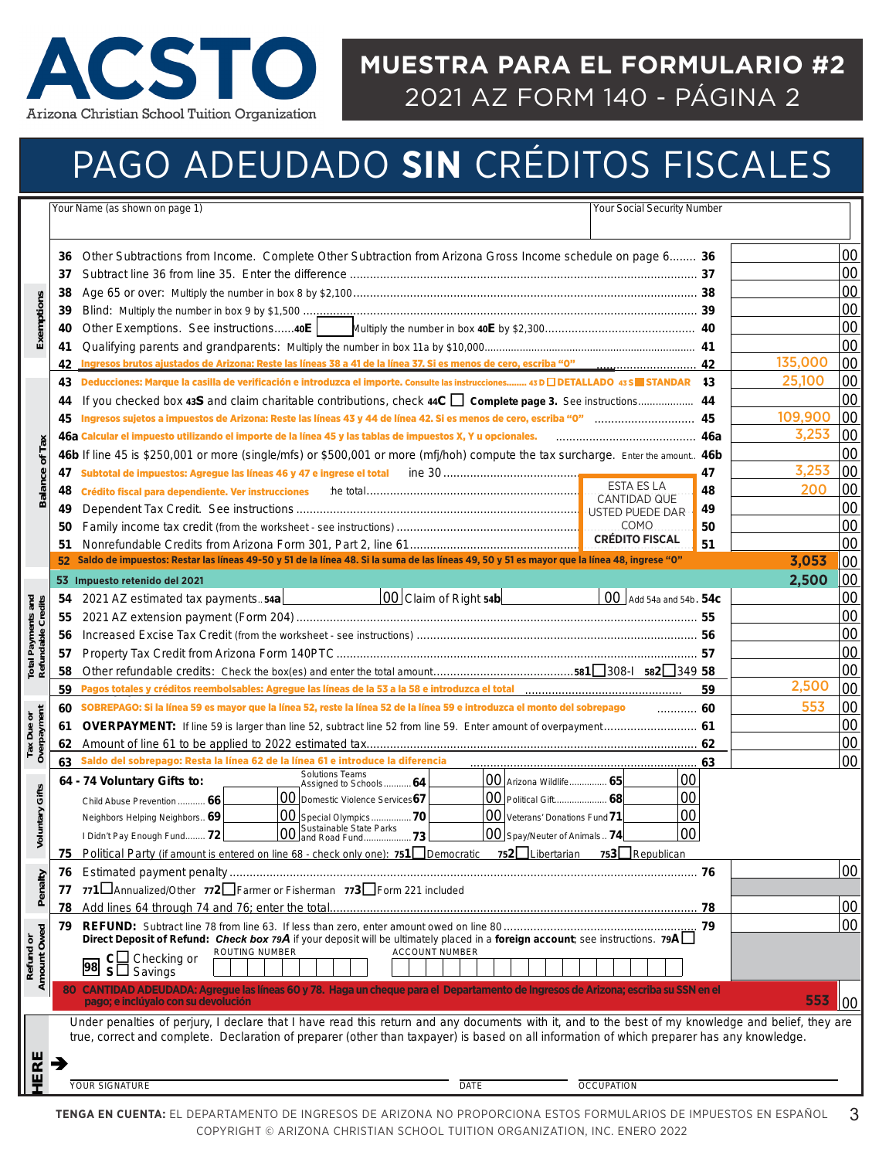

#### **MUESTRA PARA EL FORMULARIO #2**  2021 AZ FORM 140 - PÁGINA 2

# PAGO ADEUDADO **SIN** CRÉDITOS FISCALES

|                                                 |    | <b>Your Social Security Number</b><br>Your Name (as shown on page 1)                                                                                                                                                           |    |         |        |
|-------------------------------------------------|----|--------------------------------------------------------------------------------------------------------------------------------------------------------------------------------------------------------------------------------|----|---------|--------|
|                                                 |    |                                                                                                                                                                                                                                |    |         |        |
|                                                 | 36 | Other Subtractions from Income. Complete Other Subtraction from Arizona Gross Income schedule on page 6 36                                                                                                                     |    |         | 00     |
|                                                 | 37 |                                                                                                                                                                                                                                |    |         | 00     |
|                                                 | 38 |                                                                                                                                                                                                                                |    |         | 00     |
|                                                 | 39 |                                                                                                                                                                                                                                |    |         | 00     |
|                                                 | 40 |                                                                                                                                                                                                                                |    |         | 00     |
| Exemptions                                      | 41 |                                                                                                                                                                                                                                |    |         | 00     |
|                                                 | 42 |                                                                                                                                                                                                                                |    | 135,000 | 00     |
|                                                 | 43 | Deducciones: Marque la casilla de verificación e introduzca el importe. Consulte las instrucciones 43 D DETALLADO 43 S STANDAR 13                                                                                              |    | 25,100  | 00     |
|                                                 | 44 |                                                                                                                                                                                                                                |    |         | 00     |
|                                                 | 45 |                                                                                                                                                                                                                                |    | 109,900 | 00     |
|                                                 |    | 46a Calcular el impuesto utilizando el importe de la línea 45 y las tablas de impuestos X, Y u opcionales.                                                                                                                     |    | 3,253   | 00     |
| <b>Balance of Tax</b>                           |    | 46b If line 45 is \$250,001 or more (single/mfs) or \$500,001 or more (mfj/hoh) compute the tax surcharge. Enter the amount 46b                                                                                                |    |         | 00     |
|                                                 | 47 | Subtotal de impuestos: Agregue las líneas 46 y 47 e ingrese el total                                                                                                                                                           | 47 | 3,253   | 00     |
|                                                 | 48 | <b>ESTA ES LA</b><br>Crédito fiscal para dependiente. Ver instrucciones                                                                                                                                                        | 48 | 200     | 00     |
|                                                 | 49 | <b>CANTIDAD QUE</b>                                                                                                                                                                                                            | 49 |         | 00     |
|                                                 | 50 | <b>COMO</b>                                                                                                                                                                                                                    | 50 |         | 00     |
|                                                 | 51 | <b>CRÉDITO FISCAL</b>                                                                                                                                                                                                          | 51 |         | 00     |
|                                                 |    | Saldo de impuestos: Restar las líneas 49-50 y 51 de la línea 48. Si la suma de las líneas 49, 50 y 51 es mayor que la línea 48, ingrese "0"                                                                                    |    | 3,053   | 00     |
|                                                 |    | 53 Impuesto retenido del 2021                                                                                                                                                                                                  |    | 2,500   | 00     |
|                                                 | 54 | $ 00 $ Claim of Right 54b $ $<br>00 Add 54a and 54b. 54c<br>2021 AZ estimated tax payments54a                                                                                                                                  |    |         | 00     |
|                                                 | 55 |                                                                                                                                                                                                                                |    |         | 00     |
|                                                 | 56 |                                                                                                                                                                                                                                |    |         | 00     |
| <b>Total Payments and</b><br>Refundable Credits | 57 |                                                                                                                                                                                                                                |    |         | 00     |
|                                                 | 58 |                                                                                                                                                                                                                                |    |         | 00     |
|                                                 | 59 | Pagos totales y créditos reembolsables: Agregue las líneas de la 53 a la 58 e introduzca el total [1111] [1111] [1111] [1111] [1111] [1111] [1111] [1111] [1111] [1111] [1111] [1111] [1111] [1111] [1111] [1111] [1111] [1111 | 59 | 2,500   | 00     |
|                                                 | 60 | SOBREPAGO: Si la línea 59 es mayor que la línea 52, reste la línea 52 de la línea 59 e introduzca el monto del sobrepago<br>60                                                                                                 |    | 553     | 00     |
|                                                 | 61 | OVERPAYMENT: If line 59 is larger than line 52, subtract line 52 from line 59. Enter amount of overpayment 61                                                                                                                  |    |         | 00     |
| Tax Due or<br>Overpayment                       | 62 |                                                                                                                                                                                                                                |    |         | 00     |
|                                                 | 63 | Saldo del sobrepago: Resta la línea 62 de la línea 61 e introduce la diferencia                                                                                                                                                | 63 |         | 00     |
|                                                 |    | <b>Solutions Teams</b><br>00<br>00 Arizona Wildlife 65<br>64 - 74 Voluntary Gifts to:<br>Assigned to Schools 64                                                                                                                |    |         |        |
| Gifts                                           |    | 00<br>00 Domestic Violence Services67<br>00 Political Gift 68<br>Child Abuse Prevention  66                                                                                                                                    |    |         |        |
| Voluntary                                       |    | 00<br>00 Special Olympics70<br>00 Veterans' Donations Fund 71<br>Neighbors Helping Neighbors 69                                                                                                                                |    |         |        |
|                                                 |    | 00 Sustainable State Parks<br>00 and Road Fund73<br>00<br>00 Spay/Neuter of Animals 74<br>I Didn't Pay Enough Fund 72                                                                                                          |    |         |        |
|                                                 | 75 | Political Party (if amount is entered on line 68 - check only one): 751 Democratic 752 Libertarian<br>753 Republican                                                                                                           |    |         |        |
|                                                 | 76 |                                                                                                                                                                                                                                |    |         | $00\,$ |
| Penalty                                         | 77 | 771 Annualized/Other 772 Farmer or Fisherman 773 Form 221 included                                                                                                                                                             |    |         |        |
|                                                 | 78 |                                                                                                                                                                                                                                |    |         | 00     |
| Refund or<br>Amount Owed                        | 79 | Direct Deposit of Refund: Check box 79A if your deposit will be ultimately placed in a foreign account; see instructions. 79A                                                                                                  |    |         | 00     |
|                                                 |    | <b>ROUTING NUMBER</b><br><b>ACCOUNT NUMBER</b><br>$c\Box$ Checking or                                                                                                                                                          |    |         |        |
|                                                 |    | 98<br>$S\Box$ Savings                                                                                                                                                                                                          |    |         |        |
|                                                 |    | 80 CANTIDAD ADEUDADA: Agregue las líneas 60 y 78. Haga un cheque para el Departamento de Ingresos de Arizona; escriba su SSN en el                                                                                             |    |         |        |
|                                                 |    | pago; e inclúyalo con su devolución                                                                                                                                                                                            |    | 553     | 00     |
|                                                 |    | Under penalties of perjury, I declare that I have read this return and any documents with it, and to the best of my knowledge and belief, they are                                                                             |    |         |        |
|                                                 |    | true, correct and complete. Declaration of preparer (other than taxpayer) is based on all information of which preparer has any knowledge.                                                                                     |    |         |        |
| ERE                                             |    |                                                                                                                                                                                                                                |    |         |        |
|                                                 |    | <b>YOUR SIGNATURE</b><br><b>DATE</b><br><b>OCCUPATION</b>                                                                                                                                                                      |    |         |        |
|                                                 |    |                                                                                                                                                                                                                                |    |         |        |
|                                                 |    | TENGA EN CUENTA: EL DEPARTAMENTO DE INGRESOS DE ARIZONA NO PROPORCIONA ESTOS FORMULARIOS DE IMPUESTOS EN ESPAÑOL<br>COPYRIGHT © ARIZONA CHRISTIAN SCHOOL TUITION ORGANIZATION, INC. ENERO 2022                                 |    |         | 3      |
|                                                 |    |                                                                                                                                                                                                                                |    |         |        |
|                                                 |    |                                                                                                                                                                                                                                |    |         |        |
|                                                 |    |                                                                                                                                                                                                                                |    |         |        |
|                                                 |    |                                                                                                                                                                                                                                |    |         |        |